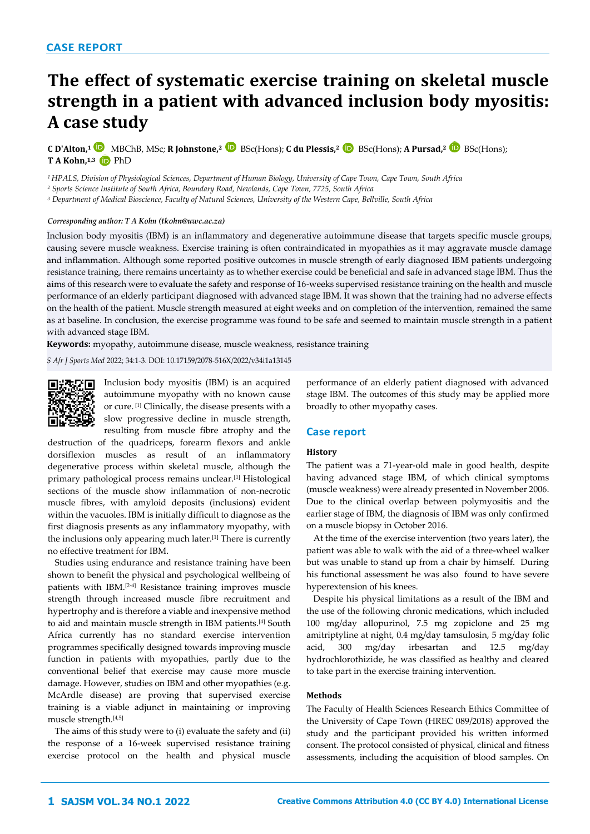# **The effect of systematic exercise training on skeletal muscle strength in a patient with advanced inclusion body myositis: A case study**

**C D'Alton,<sup>1</sup>**MBChB, MSc; **R Johnstone,<sup>2</sup>**BSc(Hons); **C du Plessis,<sup>2</sup>** BSc(Hons); **A Pursad,<sup>2</sup>** BSc(Hons); **T A Kohn, 1,3** PhD

*<sup>1</sup>HPALS, Division of Physiological Sciences, Department of Human Biology, University of Cape Town, Cape Town, South Africa*

*<sup>2</sup> Sports Science Institute of South Africa, Boundary Road, Newlands, Cape Town, 7725, South Africa*

*<sup>3</sup> Department of Medical Bioscience, Faculty of Natural Sciences, University of the Western Cape, Bellville, South Africa*

## *Corresponding author: T A Kohn (tkohn@uwc.ac.za)*

Inclusion body myositis (IBM) is an inflammatory and degenerative autoimmune disease that targets specific muscle groups, causing severe muscle weakness. Exercise training is often contraindicated in myopathies as it may aggravate muscle damage and inflammation. Although some reported positive outcomes in muscle strength of early diagnosed IBM patients undergoing resistance training, there remains uncertainty as to whether exercise could be beneficial and safe in advanced stage IBM. Thus the aims of this research were to evaluate the safety and response of 16-weeks supervised resistance training on the health and muscle performance of an elderly participant diagnosed with advanced stage IBM. It was shown that the training had no adverse effects on the health of the patient. Muscle strength measured at eight weeks and on completion of the intervention, remained the same as at baseline. In conclusion, the exercise programme was found to be safe and seemed to maintain muscle strength in a patient with advanced stage IBM.

**Keywords:** myopathy, autoimmune disease, muscle weakness, resistance training

*S Afr J Sports Med* 2022; 34:1-3. DOI: [10.17159/2078-516X/2022/v34i1a13145](http://dx.doi.org/10.17159/2078-516X/2022/v34i1a13145)



Inclusion body myositis (IBM) is an acquired autoimmune myopathy with no known cause or cure. [1] Clinically, the disease presents with a slow progressive decline in muscle strength, resulting from muscle fibre atrophy and the

destruction of the quadriceps, forearm flexors and ankle dorsiflexion muscles as result of an inflammatory degenerative process within skeletal muscle, although the primary pathological process remains unclear.[1] Histological sections of the muscle show inflammation of non-necrotic muscle fibres, with amyloid deposits (inclusions) evident within the vacuoles. IBM is initially difficult to diagnose as the first diagnosis presents as any inflammatory myopathy, with the inclusions only appearing much later.[1] There is currently no effective treatment for IBM.

Studies using endurance and resistance training have been shown to benefit the physical and psychological wellbeing of patients with IBM.[2-4] Resistance training improves muscle strength through increased muscle fibre recruitment and hypertrophy and is therefore a viable and inexpensive method to aid and maintain muscle strength in IBM patients.[4] South Africa currently has no standard exercise intervention programmes specifically designed towards improving muscle function in patients with myopathies, partly due to the conventional belief that exercise may cause more muscle damage. However, studies on IBM and other myopathies (e.g. McArdle disease) are proving that supervised exercise training is a viable adjunct in maintaining or improving muscle strength.[4,5]

The aims of this study were to (i) evaluate the safety and (ii) the response of a 16-week supervised resistance training exercise protocol on the health and physical muscle

performance of an elderly patient diagnosed with advanced stage IBM. The outcomes of this study may be applied more broadly to other myopathy cases.

## **Case report**

#### **History**

The patient was a 71-year-old male in good health, despite having advanced stage IBM, of which clinical symptoms (muscle weakness) were already presented in November 2006. Due to the clinical overlap between polymyositis and the earlier stage of IBM, the diagnosis of IBM was only confirmed on a muscle biopsy in October 2016.

At the time of the exercise intervention (two years later), the patient was able to walk with the aid of a three-wheel walker but was unable to stand up from a chair by himself. During his functional assessment he was also found to have severe hyperextension of his knees.

Despite his physical limitations as a result of the IBM and the use of the following chronic medications, which included 100 mg/day allopurinol, 7.5 mg zopiclone and 25 mg amitriptyline at night, 0.4 mg/day tamsulosin, 5 mg/day folic acid, 300 mg/day irbesartan and 12.5 mg/day hydrochlorothizide, he was classified as healthy and cleared to take part in the exercise training intervention.

## **Methods**

The Faculty of Health Sciences Research Ethics Committee of the University of Cape Town (HREC 089/2018) approved the study and the participant provided his written informed consent. The protocol consisted of physical, clinical and fitness assessments, including the acquisition of blood samples. On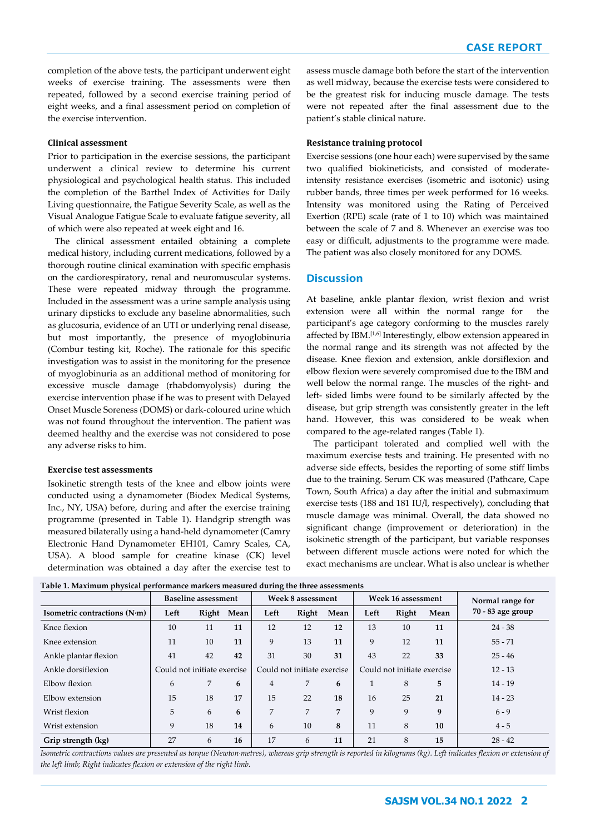completion of the above tests, the participant underwent eight weeks of exercise training. The assessments were then repeated, followed by a second exercise training period of eight weeks, and a final assessment period on completion of the exercise intervention.

#### **Clinical assessment**

Prior to participation in the exercise sessions, the participant underwent a clinical review to determine his current physiological and psychological health status. This included the completion of the Barthel Index of Activities for Daily Living questionnaire, the Fatigue Severity Scale, as well as the Visual Analogue Fatigue Scale to evaluate fatigue severity, all of which were also repeated at week eight and 16.

The clinical assessment entailed obtaining a complete medical history, including current medications, followed by a thorough routine clinical examination with specific emphasis on the cardiorespiratory, renal and neuromuscular systems. These were repeated midway through the programme. Included in the assessment was a urine sample analysis using urinary dipsticks to exclude any baseline abnormalities, such as glucosuria, evidence of an UTI or underlying renal disease, but most importantly, the presence of myoglobinuria (Combur testing kit, Roche). The rationale for this specific investigation was to assist in the monitoring for the presence of myoglobinuria as an additional method of monitoring for excessive muscle damage (rhabdomyolysis) during the exercise intervention phase if he was to present with Delayed Onset Muscle Soreness (DOMS) or dark-coloured urine which was not found throughout the intervention. The patient was deemed healthy and the exercise was not considered to pose any adverse risks to him.

## **Exercise test assessments**

Isokinetic strength tests of the knee and elbow joints were conducted using a dynamometer (Biodex Medical Systems, Inc., NY, USA) before, during and after the exercise training programme (presented in Table 1). Handgrip strength was measured bilaterally using a hand-held dynamometer (Camry Electronic Hand Dynamometer EH101, Camry Scales, CA, USA). A blood sample for creatine kinase (CK) level determination was obtained a day after the exercise test to assess muscle damage both before the start of the intervention as well midway, because the exercise tests were considered to be the greatest risk for inducing muscle damage. The tests were not repeated after the final assessment due to the patient's stable clinical nature.

#### **Resistance training protocol**

Exercise sessions (one hour each) were supervised by the same two qualified biokineticists, and consisted of moderateintensity resistance exercises (isometric and isotonic) using rubber bands, three times per week performed for 16 weeks. Intensity was monitored using the Rating of Perceived Exertion (RPE) scale (rate of 1 to 10) which was maintained between the scale of 7 and 8. Whenever an exercise was too easy or difficult, adjustments to the programme were made. The patient was also closely monitored for any DOMS.

# **Discussion**

At baseline, ankle plantar flexion, wrist flexion and wrist extension were all within the normal range for participant's age category conforming to the muscles rarely affected by IBM.[1,6] Interestingly, elbow extension appeared in the normal range and its strength was not affected by the disease. Knee flexion and extension, ankle dorsiflexion and elbow flexion were severely compromised due to the IBM and well below the normal range. The muscles of the right- and left- sided limbs were found to be similarly affected by the disease, but grip strength was consistently greater in the left hand. However, this was considered to be weak when compared to the age-related ranges (Table 1).

The participant tolerated and complied well with the maximum exercise tests and training. He presented with no adverse side effects, besides the reporting of some stiff limbs due to the training. Serum CK was measured (Pathcare, Cape Town, South Africa) a day after the initial and submaximum exercise tests (188 and 181 IU/l, respectively), concluding that muscle damage was minimal. Overall, the data showed no significant change (improvement or deterioration) in the isokinetic strength of the participant, but variable responses between different muscle actions were noted for which the exact mechanisms are unclear. What is also unclear is whether

|  | Table 1. Maximum physical performance markers measured during the three assessments |  |  |
|--|-------------------------------------------------------------------------------------|--|--|
|  |                                                                                     |  |  |

|                              | <b>Baseline assessment</b>  |       |      | Week 8 assessment           |                | Week 16 assessment          |      |       | Normal range for |                   |
|------------------------------|-----------------------------|-------|------|-----------------------------|----------------|-----------------------------|------|-------|------------------|-------------------|
| Isometric contractions (N·m) | Left                        | Right | Mean | Left                        | Right          | Mean                        | Left | Right | Mean             | 70 - 83 age group |
| Knee flexion                 | 10                          | 11    | 11   | 12                          | 12             | 12                          | 13   | 10    | 11               | $24 - 38$         |
| Knee extension               | 11                          | 10    | 11   | 9                           | 13             | 11                          | 9    | 12    | 11               | $55 - 71$         |
| Ankle plantar flexion        | 41                          | 42    | 42   | 31                          | 30             | 31                          | 43   | 22    | 33               | $25 - 46$         |
| Ankle dorsiflexion           | Could not initiate exercise |       |      | Could not initiate exercise |                | Could not initiate exercise |      |       | $12 - 13$        |                   |
| Elbow flexion                | 6                           | 7     | 6    | $\overline{4}$              | 7              | 6                           |      | 8     | 5                | $14 - 19$         |
| Elbow extension              | 15                          | 18    | 17   | 15                          | 22             | 18                          | 16   | 25    | 21               | $14 - 23$         |
| Wrist flexion                | 5                           | 6     | 6    | 7                           | $\overline{7}$ | 7                           | 9    | 9     | 9                | $6 - 9$           |
| Wrist extension              | 9                           | 18    | 14   | 6                           | 10             | 8                           | 11   | 8     | 10               | $4 - 5$           |
| Grip strength (kg)           | 27                          | 6     | 16   | 17                          | 6              | 11                          | 21   | 8     | 15               | $28 - 42$         |

*Isometric contractions values are presented as torque (Newton·metres), whereas grip strength is reported in kilograms (kg). Left indicates flexion or extension of the left limb; Right indicates flexion or extension of the right limb.*